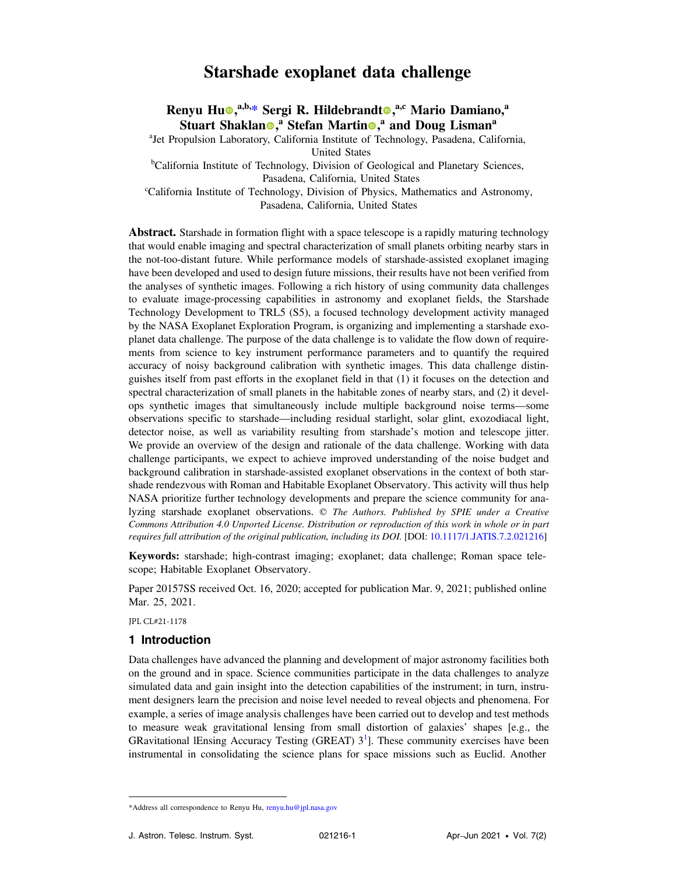# Starshade exoplanet data challenge

Renyu Hu®[,](https://orcid.org/0000-0003-0220-0009)<sup>a,b,</sup>\* Sergi R. Hildebrandt®,<sup>a,c</sup> Mario Damiano,<sup>a</sup> Stuart Shaklan<sup>®</sup>[,](https://orcid.org/0000-0002-6662-9560)<sup>a</sup> Stefan Martin®,<sup>a</sup> and Doug Lisman<sup>a</sup>

<sup>a</sup>Jet Propulsion Laboratory, California Institute of Technology, Pasadena, California,

United States

<sup>b</sup>California Institute of Technology, Division of Geological and Planetary Sciences, Pasadena, California, United States

 c California Institute of Technology, Division of Physics, Mathematics and Astronomy, Pasadena, California, United States

Abstract. Starshade in formation flight with a space telescope is a rapidly maturing technology that would enable imaging and spectral characterization of small planets orbiting nearby stars in the not-too-distant future. While performance models of starshade-assisted exoplanet imaging have been developed and used to design future missions, their results have not been verified from the analyses of synthetic images. Following a rich history of using community data challenges to evaluate image-processing capabilities in astronomy and exoplanet fields, the Starshade Technology Development to TRL5 (S5), a focused technology development activity managed by the NASA Exoplanet Exploration Program, is organizing and implementing a starshade exo- planet data challenge. The purpose of the data challenge is to validate the flow down of require- ments from science to key instrument performance parameters and to quantify the required accuracy of noisy background calibration with synthetic images. This data challenge distin- guishes itself from past efforts in the exoplanet field in that (1) it focuses on the detection and spectral characterization of small planets in the habitable zones of nearby stars, and (2) it devel- ops synthetic images that simultaneously include multiple background noise terms—some observations specific to starshade—including residual starlight, solar glint, exozodiacal light, detector noise, as well as variability resulting from starshade's motion and telescope jitter. We provide an overview of the design and rationale of the data challenge. Working with data challenge participants, we expect to achieve improved understanding of the noise budget and background calibration in starshade-assisted exoplanet observations in the context of both star- shade rendezvous with Roman and Habitable Exoplanet Observatory. This activity will thus help NASA prioritize further technology developments and prepare the science community for analyzing starshade exoplanet observations.  $©$  The Authors. Published by SPIE under a Creative Commons Attribution 4.0 Unported License. Distribution or reproduction of this work in whole or in part requires full attribution of the original publication, including its DOI. [DOI: [10.1117/1.JATIS.7.2.021216\]](https://doi.org/10.1117/1.JATIS.7.2.021216)

 Keywords: starshade; high-contrast imaging; exoplanet; data challenge; Roman space tele-scope; Habitable Exoplanet Observatory.

 Paper 20157SS received Oct. 16, 2020; accepted for publication Mar. 9, 2021; published online Mar. 25, 2021.

JPL CL#21-1178

# 1 Introduction

 Data challenges have advanced the planning and development of major astronomy facilities both on the ground and in space. Science communities participate in the data challenges to analyze simulated data and gain insight into the detection capabilities of the instrument; in turn, instru- ment designers learn the precision and noise level needed to reveal objects and phenomena. For example, a series of image analysis challenges have been carried out to develop and test methods to measure weak gravitational lensing from small distortion of galaxies' shapes [e.g., the GRavitational lEnsing Accuracy Testing (GREAT)  $3<sup>1</sup>$  $3<sup>1</sup>$  $3<sup>1</sup>$ ]. These community exercises have been instrumental in consolidating the science plans for space missions such as Euclid. Another

<sup>\*</sup>Address all correspondence to Renyu Hu, [renyu.hu@jpl.nasa.gov](mailto:renyu.hu@jpl.nasa.gov)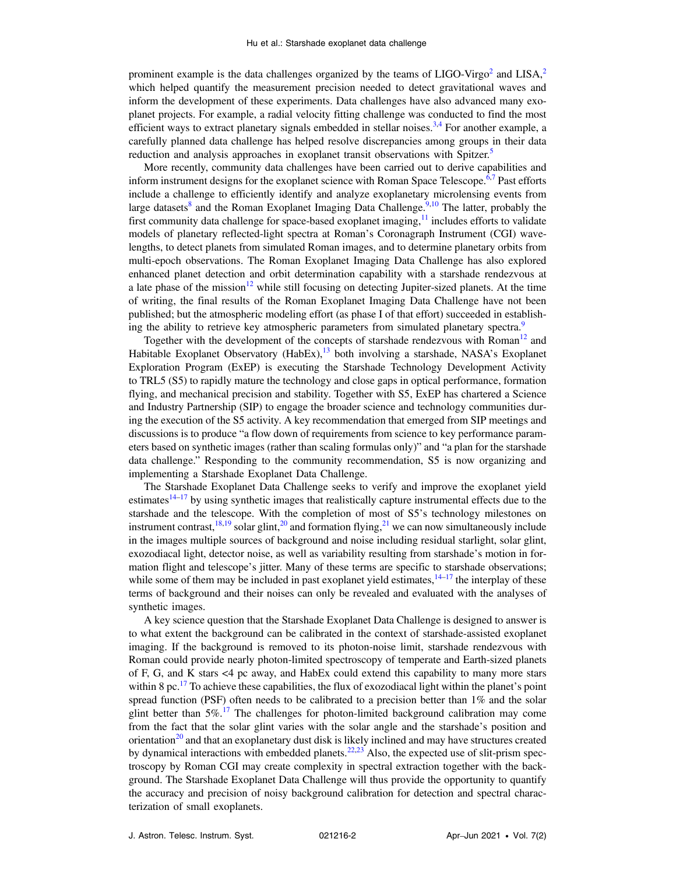prominent example is the data challenges organized by the teams of  $LIGO-Virgo<sup>2</sup>$  $LIGO-Virgo<sup>2</sup>$  $LIGO-Virgo<sup>2</sup>$  and  $LISA<sup>2</sup>$ which helped quantify the measurement precision needed to detect gravitational waves and inform the development of these experiments. Data challenges have also advanced many exoplanet projects. For example, a radial velocity fitting challenge was conducted to find the most efficient ways to extract planetary signals embedded in stellar noises.<sup>[3,4](#page-7-0)</sup> For another example, a carefully planned data challenge has helped resolve discrepancies among groups in their data reduction and analysis approaches in exoplanet transit observations with Spitzer.<sup>[5](#page-7-0)</sup>

More recently, community data challenges have been carried out to derive capabilities and inform instrument designs for the exoplanet science with Roman Space Telescope. $6.7$  Past efforts include a challenge to efficiently identify and analyze exoplanetary microlensing events from large datasets<sup>[8](#page-7-0)</sup> and the Roman Exoplanet Imaging Data Challenge.<sup>[9](#page-7-0),[10](#page-7-0)</sup> The latter, probably the first community data challenge for space-based exoplanet imaging, $\frac{11}{11}$  $\frac{11}{11}$  $\frac{11}{11}$  includes efforts to validate models of planetary reflected-light spectra at Roman's Coronagraph Instrument (CGI) wavelengths, to detect planets from simulated Roman images, and to determine planetary orbits from multi-epoch observations. The Roman Exoplanet Imaging Data Challenge has also explored enhanced planet detection and orbit determination capability with a starshade rendezvous at a late phase of the mission<sup>[12](#page-7-0)</sup> while still focusing on detecting Jupiter-sized planets. At the time of writing, the final results of the Roman Exoplanet Imaging Data Challenge have not been published; but the atmospheric modeling effort (as phase I of that effort) succeeded in establish-ing the ability to retrieve key atmospheric parameters from simulated planetary spectra.<sup>[9](#page-7-0)</sup>

Together with the development of the concepts of starshade rendezvous with Roman $^{12}$  $^{12}$  $^{12}$  and Habitable Exoplanet Observatory (HabEx),<sup>[13](#page-7-0)</sup> both involving a starshade, NASA's Exoplanet Exploration Program (ExEP) is executing the Starshade Technology Development Activity to TRL5 (S5) to rapidly mature the technology and close gaps in optical performance, formation flying, and mechanical precision and stability. Together with S5, ExEP has chartered a Science and Industry Partnership (SIP) to engage the broader science and technology communities during the execution of the S5 activity. A key recommendation that emerged from SIP meetings and discussions is to produce "a flow down of requirements from science to key performance parameters based on synthetic images (rather than scaling formulas only)" and "a plan for the starshade data challenge." Responding to the community recommendation, S5 is now organizing and implementing a Starshade Exoplanet Data Challenge.

The Starshade Exoplanet Data Challenge seeks to verify and improve the exoplanet yield estimates $14-17$  $14-17$  $14-17$  by using synthetic images that realistically capture instrumental effects due to the starshade and the telescope. With the completion of most of S5's technology milestones on instrument contrast,  $18,19$  solar glint,  $20$  and formation flying,  $21$  we can now simultaneously include in the images multiple sources of background and noise including residual starlight, solar glint, exozodiacal light, detector noise, as well as variability resulting from starshade's motion in formation flight and telescope's jitter. Many of these terms are specific to starshade observations; while some of them may be included in past exoplanet yield estimates,  $14-17$  $14-17$  $14-17$  the interplay of these terms of background and their noises can only be revealed and evaluated with the analyses of synthetic images.

A key science question that the Starshade Exoplanet Data Challenge is designed to answer is to what extent the background can be calibrated in the context of starshade-assisted exoplanet imaging. If the background is removed to its photon-noise limit, starshade rendezvous with Roman could provide nearly photon-limited spectroscopy of temperate and Earth-sized planets of F, G, and K stars <4 pc away, and HabEx could extend this capability to many more stars within 8 pc.<sup>[17](#page-7-0)</sup> To achieve these capabilities, the flux of exozodiacal light within the planet's point spread function (PSF) often needs to be calibrated to a precision better than  $1\%$  and the solar glint better than  $5\%$ .<sup>[17](#page-7-0)</sup> The challenges for photon-limited background calibration may come from the fact that the solar glint varies with the solar angle and the starshade's position and orientation<sup>[20](#page-7-0)</sup> and that an exoplanetary dust disk is likely inclined and may have structures created by dynamical interactions with embedded planets.<sup>[22,23](#page-7-0)</sup> Also, the expected use of slit-prism spectroscopy by Roman CGI may create complexity in spectral extraction together with the background. The Starshade Exoplanet Data Challenge will thus provide the opportunity to quantify the accuracy and precision of noisy background calibration for detection and spectral characterization of small exoplanets.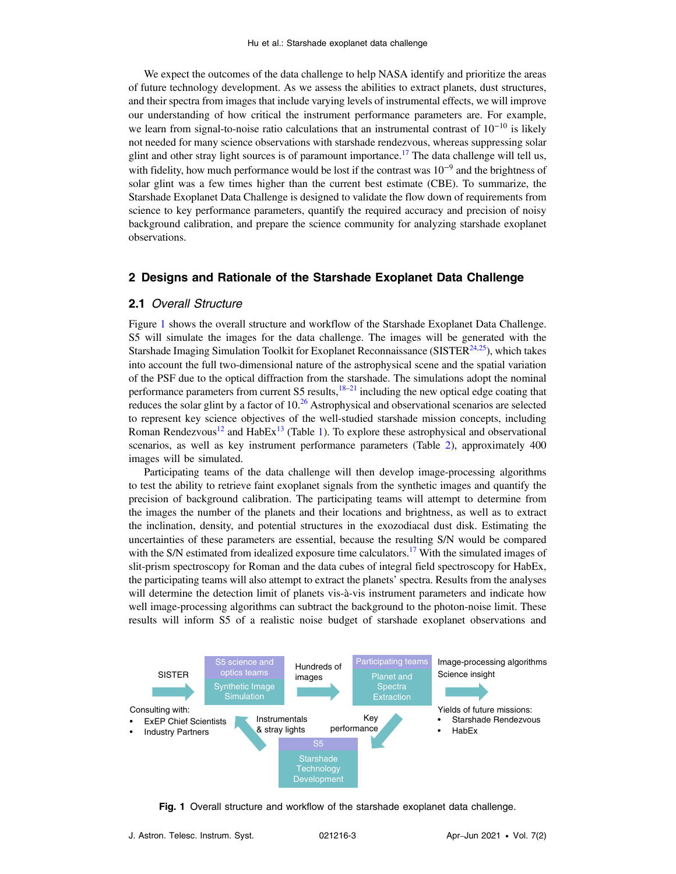<span id="page-2-0"></span>We expect the outcomes of the data challenge to help NASA identify and prioritize the areas of future technology development. As we assess the abilities to extract planets, dust structures, and their spectra from images that include varying levels of instrumental effects, we will improve our understanding of how critical the instrument performance parameters are. For example, we learn from signal-to-noise ratio calculations that an instrumental contrast of  $10^{-10}$  is likely not needed for many science observations with starshade rendezvous, whereas suppressing solar glint and other stray light sources is of paramount importance.<sup>[17](#page-7-0)</sup> The data challenge will tell us, with fidelity, how much performance would be lost if the contrast was  $10^{-9}$  and the brightness of solar glint was a few times higher than the current best estimate (CBE). To summarize, the Starshade Exoplanet Data Challenge is designed to validate the flow down of requirements from science to key performance parameters, quantify the required accuracy and precision of noisy background calibration, and prepare the science community for analyzing starshade exoplanet observations.

#### 2 Designs and Rationale of the Starshade Exoplanet Data Challenge

# 2.1 Overall Structure

Figure 1 shows the overall structure and workflow of the Starshade Exoplanet Data Challenge. S5 will simulate the images for the data challenge. The images will be generated with the Starshade Imaging Simulation Toolkit for Exoplanet Reconnaissance ( $SISTER<sup>24,25</sup>$ ), which takes into account the full two-dimensional nature of the astrophysical scene and the spatial variation of the PSF due to the optical diffraction from the starshade. The simulations adopt the nominal performance parameters from current S5 results, $18-21$  $18-21$  $18-21$  including the new optical edge coating that reduces the solar glint by a factor of  $10<sup>26</sup>$  $10<sup>26</sup>$  $10<sup>26</sup>$  Astrophysical and observational scenarios are selected to represent key science objectives of the well-studied starshade mission concepts, including Roman Rendezvous<sup>12</sup> and HabEx<sup>[13](#page-7-0)</sup> (Table [1](#page-3-0)). To explore these astrophysical and observational scenarios, as well as key instrument performance parameters (Table [2](#page-3-0)), approximately 400 images will be simulated.

Participating teams of the data challenge will then develop image-processing algorithms to test the ability to retrieve faint exoplanet signals from the synthetic images and quantify the precision of background calibration. The participating teams will attempt to determine from the images the number of the planets and their locations and brightness, as well as to extract the inclination, density, and potential structures in the exozodiacal dust disk. Estimating the uncertainties of these parameters are essential, because the resulting S/N would be compared with the S/N estimated from idealized exposure time calculators.<sup>[17](#page-7-0)</sup> With the simulated images of slit-prism spectroscopy for Roman and the data cubes of integral field spectroscopy for HabEx, the participating teams will also attempt to extract the planets' spectra. Results from the analyses will determine the detection limit of planets vis-à-vis instrument parameters and indicate how well image-processing algorithms can subtract the background to the photon-noise limit. These results will inform S5 of a realistic noise budget of starshade exoplanet observations and



Fig. 1 Overall structure and workflow of the starshade exoplanet data challenge.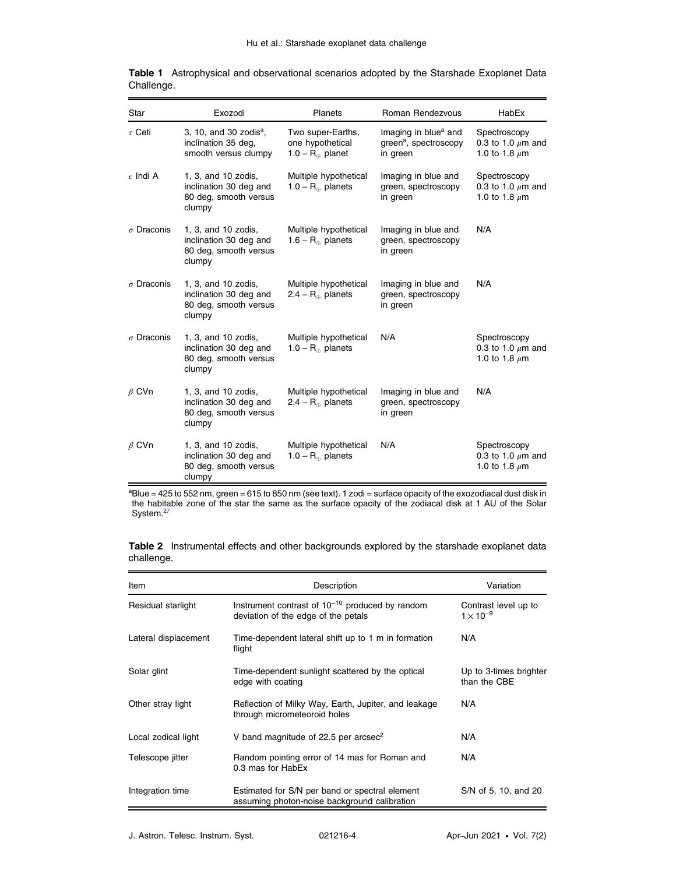| Star              | Exozodi                                                                          | <b>Planets</b>                                                     | Roman Rendezvous                                                                  | HabEx                                                        |
|-------------------|----------------------------------------------------------------------------------|--------------------------------------------------------------------|-----------------------------------------------------------------------------------|--------------------------------------------------------------|
| $\tau$ Ceti       | 3, 10, and 30 zodis $a$ ,<br>inclination 35 deg,<br>smooth versus clumpy         | Two super-Earths,<br>one hypothetical<br>1.0 – $R_{\oplus}$ planet | Imaging in blue <sup>a</sup> and<br>green <sup>a</sup> , spectroscopy<br>in green | Spectroscopy<br>0.3 to 1.0 $\mu$ m and<br>1.0 to 1.8 $\mu$ m |
| $\epsilon$ Indi A | 1, 3, and 10 zodis,<br>inclination 30 deg and<br>80 deg, smooth versus<br>clumpy | Multiple hypothetical<br>1.0 – $R_{\oplus}$ planets                | Imaging in blue and<br>green, spectroscopy<br>in green                            | Spectroscopy<br>0.3 to 1.0 $\mu$ m and<br>1.0 to 1.8 $\mu$ m |
| $\sigma$ Draconis | 1, 3, and 10 zodis,<br>inclination 30 deg and<br>80 deg, smooth versus<br>clumpy | Multiple hypothetical<br>1.6 – $R_{\oplus}$ planets                | Imaging in blue and<br>green, spectroscopy<br>in green                            | N/A                                                          |
| $\sigma$ Draconis | 1, 3, and 10 zodis,<br>inclination 30 deg and<br>80 deg, smooth versus<br>clumpy | Multiple hypothetical<br>$2.4 - R_{\odot}$ planets                 | Imaging in blue and<br>green, spectroscopy<br>in green                            | N/A                                                          |
| $\sigma$ Draconis | 1, 3, and 10 zodis,<br>inclination 30 deg and<br>80 deg, smooth versus<br>clumpy | Multiple hypothetical<br>1.0 – $R_{\oplus}$ planets                | N/A                                                                               | Spectroscopy<br>0.3 to 1.0 $\mu$ m and<br>1.0 to 1.8 $\mu$ m |
| $\beta$ CVn       | 1, 3, and 10 zodis,<br>inclination 30 deg and<br>80 deg, smooth versus<br>clumpy | Multiple hypothetical<br>2.4 – $R_{\oplus}$ planets                | Imaging in blue and<br>green, spectroscopy<br>in green                            | N/A                                                          |
| $\beta$ CVn       | 1, 3, and 10 zodis,<br>inclination 30 deg and<br>80 deg, smooth versus<br>clumpy | Multiple hypothetical<br>1.0 – $R_{\oplus}$ planets                | N/A                                                                               | Spectroscopy<br>0.3 to 1.0 $\mu$ m and<br>1.0 to 1.8 $\mu$ m |

<span id="page-3-0"></span>

|            | Table 1 Astrophysical and observational scenarios adopted by the Starshade Exoplanet Data |  |  |  |
|------------|-------------------------------------------------------------------------------------------|--|--|--|
| Challenge. |                                                                                           |  |  |  |

<sup>a</sup>Blue = 425 to 552 nm, green = 615 to 850 nm (see text). 1 zodi = surface opacity of the exozodiacal dust disk in the habitable zone of the star the same as the surface opacity of the zodiacal disk at 1 AU of the Solar System.<sup>27</sup>

Table 2 Instrumental effects and other backgrounds explored by the starshade exoplanet data challenge.

| Item                 | Description                                                                                    | Variation                                  |
|----------------------|------------------------------------------------------------------------------------------------|--------------------------------------------|
| Residual starlight   | Instrument contrast of $10^{-10}$ produced by random<br>deviation of the edge of the petals    | Contrast level up to<br>$1 \times 10^{-9}$ |
| Lateral displacement | Time-dependent lateral shift up to 1 m in formation<br>flight                                  | N/A                                        |
| Solar glint          | Time-dependent sunlight scattered by the optical<br>edge with coating                          | Up to 3-times brighter<br>than the CBE     |
| Other stray light    | Reflection of Milky Way, Earth, Jupiter, and leakage<br>through micrometeoroid holes           | N/A                                        |
| Local zodical light  | V band magnitude of 22.5 per arcsec <sup>2</sup>                                               | N/A                                        |
| Telescope jitter     | Random pointing error of 14 mas for Roman and<br>0.3 mas for HabEx                             | N/A                                        |
| Integration time     | Estimated for S/N per band or spectral element<br>assuming photon-noise background calibration | S/N of 5, 10, and 20                       |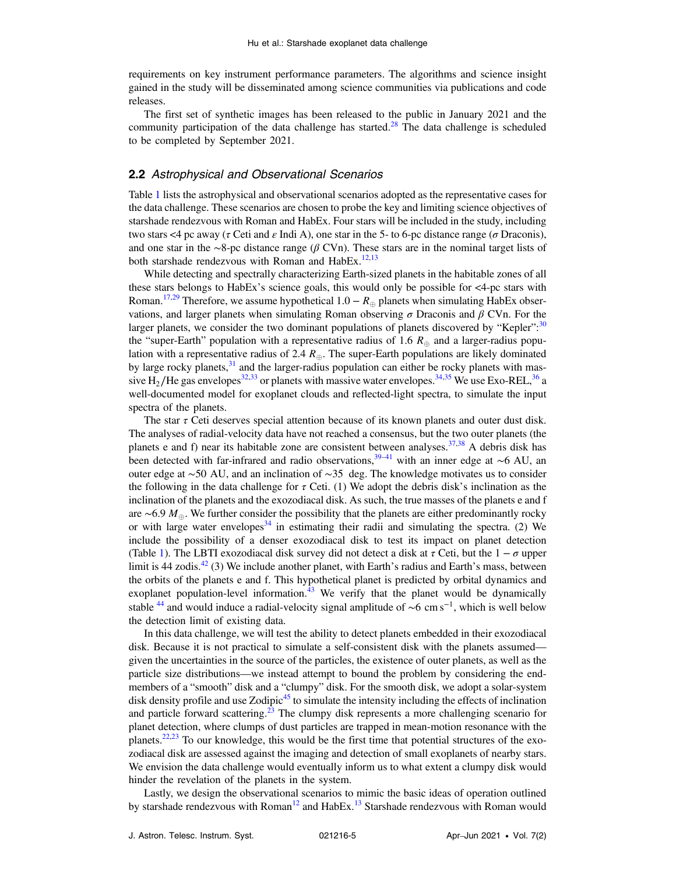requirements on key instrument performance parameters. The algorithms and science insight gained in the study will be disseminated among science communities via publications and code releases.

The first set of synthetic images has been released to the public in January 2021 and the community participation of the data challenge has started.<sup>[28](#page-8-0)</sup> The data challenge is scheduled to be completed by September 2021.

### 2.2 Astrophysical and Observational Scenarios

Table [1](#page-3-0) lists the astrophysical and observational scenarios adopted as the representative cases for the data challenge. These scenarios are chosen to probe the key and limiting science objectives of starshade rendezvous with Roman and HabEx. Four stars will be included in the study, including two stars <4 pc away (τ Ceti and ε Indi A), one star in the 5- to 6-pc distance range (σ Draconis), and one star in the ∼8-pc distance range ( $\beta$  CVn). These stars are in the nominal target lists of both starshade rendezvous with Roman and HabEx.<sup>[12](#page-7-0),[13](#page-7-0)</sup>

While detecting and spectrally characterizing Earth-sized planets in the habitable zones of all these stars belongs to HabEx's science goals, this would only be possible for  $\lt$ 4-pc stars with Roman.<sup>[17](#page-7-0)[,29](#page-8-0)</sup> Therefore, we assume hypothetical  $1.0 - R_{\oplus}$  planets when simulating HabEx observations, and larger planets when simulating Roman observing  $\sigma$  Draconis and  $\beta$  CVn. For the larger planets, we consider the two dominant populations of planets discovered by "Kepler":<sup>[30](#page-8-0)</sup> the "super-Earth" population with a representative radius of 1.6  $R_{\oplus}$  and a larger-radius population with a representative radius of 2.4  $R_{\text{A}}$ . The super-Earth populations are likely dominated by large rocky planets, $31$  and the larger-radius population can either be rocky planets with mas-sive H<sub>2</sub>/He gas envelopes<sup>32,[33](#page-8-0)</sup> or planets with massive water envelopes.<sup>34,35</sup> We use Exo-REL,<sup>36</sup> a well-documented model for exoplanet clouds and reflected-light spectra, to simulate the input spectra of the planets.

The star  $\tau$  Ceti deserves special attention because of its known planets and outer dust disk. The analyses of radial-velocity data have not reached a consensus, but the two outer planets (the planets e and f) near its habitable zone are consistent between analyses.<sup>[37,38](#page-8-0)</sup> A debris disk has been detected with far-infrared and radio observations,<sup>39–[41](#page-8-0)</sup> with an inner edge at ∼6 AU, an outer edge at ∼50 AU, and an inclination of ∼35 deg. The knowledge motivates us to consider the following in the data challenge for  $\tau$  Ceti. (1) We adopt the debris disk's inclination as the inclination of the planets and the exozodiacal disk. As such, the true masses of the planets e and f are ∼6.9  $M_{\oplus}$ . We further consider the possibility that the planets are either predominantly rocky or with large water envelopes<sup>34</sup> in estimating their radii and simulating the spectra. (2) We include the possibility of a denser exozodiacal disk to test its impact on planet detection (Table [1](#page-3-0)). The LBTI exozodiacal disk survey did not detect a disk at  $\tau$  Ceti, but the  $1 - \sigma$  upper limit is 44 zodis. $^{42}$  $^{42}$  $^{42}$  (3) We include another planet, with Earth's radius and Earth's mass, between the orbits of the planets e and f. This hypothetical planet is predicted by orbital dynamics and exoplanet population-level information.<sup>[43](#page-8-0)</sup> We verify that the planet would be dynamically stable <sup>[44](#page-8-0)</sup> and would induce a radial-velocity signal amplitude of ∼6 cm s<sup>-1</sup>, which is well below the detection limit of existing data.

In this data challenge, we will test the ability to detect planets embedded in their exozodiacal disk. Because it is not practical to simulate a self-consistent disk with the planets assumed given the uncertainties in the source of the particles, the existence of outer planets, as well as the particle size distributions—we instead attempt to bound the problem by considering the endmembers of a "smooth" disk and a "clumpy" disk. For the smooth disk, we adopt a solar-system disk density profile and use Zodipic $45$  to simulate the intensity including the effects of inclination and particle forward scattering.<sup>[23](#page-7-0)</sup> The clumpy disk represents a more challenging scenario for planet detection, where clumps of dust particles are trapped in mean-motion resonance with the planets.<sup>22,23</sup> To our knowledge, this would be the first time that potential structures of the exozodiacal disk are assessed against the imaging and detection of small exoplanets of nearby stars. We envision the data challenge would eventually inform us to what extent a clumpy disk would hinder the revelation of the planets in the system.

Lastly, we design the observational scenarios to mimic the basic ideas of operation outlined by starshade rendezvous with  $Roman<sup>12</sup>$  $Roman<sup>12</sup>$  $Roman<sup>12</sup>$  and  $HabEx<sup>13</sup>$  $HabEx<sup>13</sup>$  $HabEx<sup>13</sup>$  Starshade rendezvous with Roman would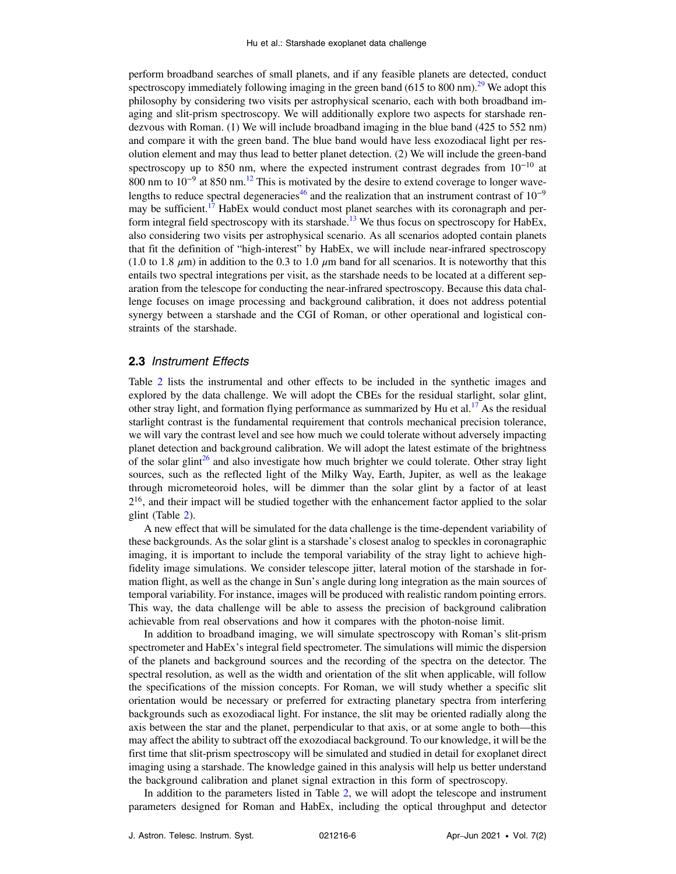perform broadband searches of small planets, and if any feasible planets are detected, conduct spectroscopy immediately following imaging in the green band (615 to 800 nm).<sup>[29](#page-8-0)</sup> We adopt this philosophy by considering two visits per astrophysical scenario, each with both broadband imaging and slit-prism spectroscopy. We will additionally explore two aspects for starshade rendezvous with Roman. (1) We will include broadband imaging in the blue band (425 to 552 nm) and compare it with the green band. The blue band would have less exozodiacal light per resolution element and may thus lead to better planet detection. (2) We will include the green-band spectroscopy up to 850 nm, where the expected instrument contrast degrades from 10<sup>-10</sup> at 800 nm to 10<sup>-9</sup> at 850 nm.<sup>[12](#page-7-0)</sup> This is motivated by the desire to extend coverage to longer wave-lengths to reduce spectral degeneracies<sup>[46](#page-8-0)</sup> and the realization that an instrument contrast of  $10^{-9}$ may be sufficient.<sup>[17](#page-7-0)</sup> HabEx would conduct most planet searches with its coronagraph and per-form integral field spectroscopy with its starshade.<sup>[13](#page-7-0)</sup> We thus focus on spectroscopy for HabEx, also considering two visits per astrophysical scenario. As all scenarios adopted contain planets that fit the definition of "high-interest" by HabEx, we will include near-infrared spectroscopy (1.0 to 1.8  $\mu$ m) in addition to the 0.3 to 1.0  $\mu$ m band for all scenarios. It is noteworthy that this entails two spectral integrations per visit, as the starshade needs to be located at a different separation from the telescope for conducting the near-infrared spectroscopy. Because this data challenge focuses on image processing and background calibration, it does not address potential synergy between a starshade and the CGI of Roman, or other operational and logistical constraints of the starshade.

#### 2.3 Instrument Effects

Table [2](#page-3-0) lists the instrumental and other effects to be included in the synthetic images and explored by the data challenge. We will adopt the CBEs for the residual starlight, solar glint, other stray light, and formation flying performance as summarized by Hu et al.<sup>[17](#page-7-0)</sup> As the residual starlight contrast is the fundamental requirement that controls mechanical precision tolerance, we will vary the contrast level and see how much we could tolerate without adversely impacting planet detection and background calibration. We will adopt the latest estimate of the brightness of the solar glint<sup>26</sup> and also investigate how much brighter we could tolerate. Other stray light sources, such as the reflected light of the Milky Way, Earth, Jupiter, as well as the leakage through micrometeoroid holes, will be dimmer than the solar glint by a factor of at least  $2^{16}$ , and their impact will be studied together with the enhancement factor applied to the solar glint (Table [2\)](#page-3-0).

A new effect that will be simulated for the data challenge is the time-dependent variability of these backgrounds. As the solar glint is a starshade's closest analog to speckles in coronagraphic imaging, it is important to include the temporal variability of the stray light to achieve highfidelity image simulations. We consider telescope jitter, lateral motion of the starshade in formation flight, as well as the change in Sun's angle during long integration as the main sources of temporal variability. For instance, images will be produced with realistic random pointing errors. This way, the data challenge will be able to assess the precision of background calibration achievable from real observations and how it compares with the photon-noise limit.

In addition to broadband imaging, we will simulate spectroscopy with Roman's slit-prism spectrometer and HabEx's integral field spectrometer. The simulations will mimic the dispersion of the planets and background sources and the recording of the spectra on the detector. The spectral resolution, as well as the width and orientation of the slit when applicable, will follow the specifications of the mission concepts. For Roman, we will study whether a specific slit orientation would be necessary or preferred for extracting planetary spectra from interfering backgrounds such as exozodiacal light. For instance, the slit may be oriented radially along the axis between the star and the planet, perpendicular to that axis, or at some angle to both—this may affect the ability to subtract off the exozodiacal background. To our knowledge, it will be the first time that slit-prism spectroscopy will be simulated and studied in detail for exoplanet direct imaging using a starshade. The knowledge gained in this analysis will help us better understand the background calibration and planet signal extraction in this form of spectroscopy.

In addition to the parameters listed in Table [2,](#page-3-0) we will adopt the telescope and instrument parameters designed for Roman and HabEx, including the optical throughput and detector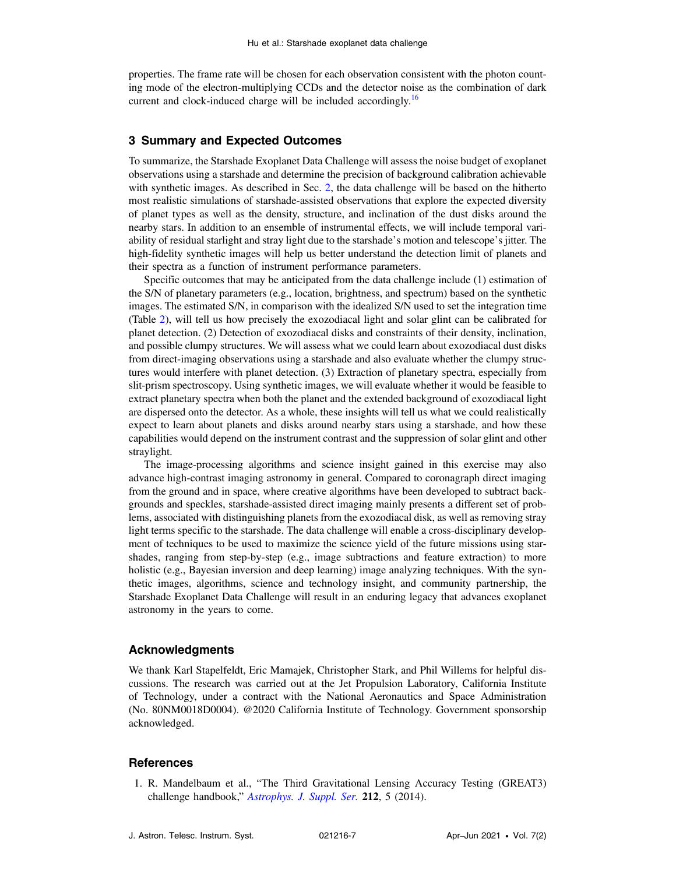<span id="page-6-0"></span>properties. The frame rate will be chosen for each observation consistent with the photon counting mode of the electron-multiplying CCDs and the detector noise as the combination of dark current and clock-induced charge will be included accordingly.<sup>[16](#page-7-0)</sup>

# 3 Summary and Expected Outcomes

To summarize, the Starshade Exoplanet Data Challenge will assess the noise budget of exoplanet observations using a starshade and determine the precision of background calibration achievable with synthetic images. As described in Sec. [2,](#page-2-0) the data challenge will be based on the hitherto most realistic simulations of starshade-assisted observations that explore the expected diversity of planet types as well as the density, structure, and inclination of the dust disks around the nearby stars. In addition to an ensemble of instrumental effects, we will include temporal variability of residual starlight and stray light due to the starshade's motion and telescope's jitter. The high-fidelity synthetic images will help us better understand the detection limit of planets and their spectra as a function of instrument performance parameters.

Specific outcomes that may be anticipated from the data challenge include (1) estimation of the S/N of planetary parameters (e.g., location, brightness, and spectrum) based on the synthetic images. The estimated S/N, in comparison with the idealized S/N used to set the integration time (Table [2\)](#page-3-0), will tell us how precisely the exozodiacal light and solar glint can be calibrated for planet detection. (2) Detection of exozodiacal disks and constraints of their density, inclination, and possible clumpy structures. We will assess what we could learn about exozodiacal dust disks from direct-imaging observations using a starshade and also evaluate whether the clumpy structures would interfere with planet detection. (3) Extraction of planetary spectra, especially from slit-prism spectroscopy. Using synthetic images, we will evaluate whether it would be feasible to extract planetary spectra when both the planet and the extended background of exozodiacal light are dispersed onto the detector. As a whole, these insights will tell us what we could realistically expect to learn about planets and disks around nearby stars using a starshade, and how these capabilities would depend on the instrument contrast and the suppression of solar glint and other straylight.

The image-processing algorithms and science insight gained in this exercise may also advance high-contrast imaging astronomy in general. Compared to coronagraph direct imaging from the ground and in space, where creative algorithms have been developed to subtract backgrounds and speckles, starshade-assisted direct imaging mainly presents a different set of problems, associated with distinguishing planets from the exozodiacal disk, as well as removing stray light terms specific to the starshade. The data challenge will enable a cross-disciplinary development of techniques to be used to maximize the science yield of the future missions using starshades, ranging from step-by-step (e.g., image subtractions and feature extraction) to more holistic (e.g., Bayesian inversion and deep learning) image analyzing techniques. With the synthetic images, algorithms, science and technology insight, and community partnership, the Starshade Exoplanet Data Challenge will result in an enduring legacy that advances exoplanet astronomy in the years to come.

# Acknowledgments

We thank Karl Stapelfeldt, Eric Mamajek, Christopher Stark, and Phil Willems for helpful discussions. The research was carried out at the Jet Propulsion Laboratory, California Institute of Technology, under a contract with the National Aeronautics and Space Administration (No. 80NM0018D0004). @2020 California Institute of Technology. Government sponsorship acknowledged.

## **References**

1. R. Mandelbaum et al., "The Third Gravitational Lensing Accuracy Testing (GREAT3) challenge handbook," [Astrophys.](https://doi.org/10.1088/0067-0049/212/1/5) J. Suppl. Ser. 212, 5 (2014).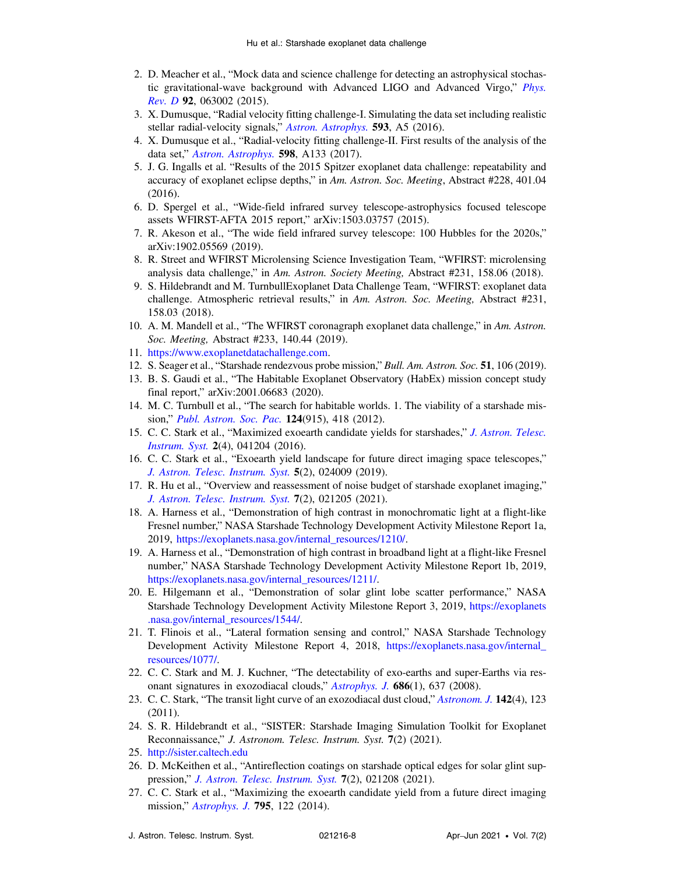- <span id="page-7-0"></span>2. D. Meacher et al., "Mock data and science challenge for detecting an astrophysical stochastic gravitational-wave background with Advanced LIGO and Advanced Virgo," [Phys.](https://doi.org/10.1103/PhysRevD.92.063002) [Rev.](https://doi.org/10.1103/PhysRevD.92.063002) D 92, 063002 (2015).
- 3. X. Dumusque, "Radial velocity fitting challenge-I. Simulating the data set including realistic stellar radial-velocity signals," Astron. [Astrophys.](https://doi.org/10.1051/0004-6361/201628672) 593, A5 (2016).
- 4. X. Dumusque et al., "Radial-velocity fitting challenge-II. First results of the analysis of the data set," Astron. [Astrophys.](https://doi.org/10.1051/0004-6361/201628671) 598, A133 (2017).
- 5. J. G. Ingalls et al. "Results of the 2015 Spitzer exoplanet data challenge: repeatability and accuracy of exoplanet eclipse depths," in Am. Astron. Soc. Meeting, Abstract #228, 401.04 (2016).
- 6. D. Spergel et al., "Wide-field infrared survey telescope-astrophysics focused telescope assets WFIRST-AFTA 2015 report," arXiv:1503.03757 (2015).
- 7. R. Akeson et al., "The wide field infrared survey telescope: 100 Hubbles for the 2020s," arXiv:1902.05569 (2019).
- 8. R. Street and WFIRST Microlensing Science Investigation Team, "WFIRST: microlensing analysis data challenge," in Am. Astron. Society Meeting, Abstract #231, 158.06 (2018).
- 9. S. Hildebrandt and M. TurnbullExoplanet Data Challenge Team, "WFIRST: exoplanet data challenge. Atmospheric retrieval results," in Am. Astron. Soc. Meeting, Abstract #231, 158.03 (2018).
- 10. A. M. Mandell et al., "The WFIRST coronagraph exoplanet data challenge," in Am. Astron. Soc. Meeting, Abstract #233, 140.44 (2019).
- 11. [https://www.exoplanetdatachallenge.com.](https://www.exoplanetdatachallenge.com)
- 12. S. Seager et al., "Starshade rendezvous probe mission," Bull. Am. Astron. Soc. 51, 106 (2019).
- 13. B. S. Gaudi et al., "The Habitable Exoplanet Observatory (HabEx) mission concept study final report," arXiv:2001.06683 (2020).
- 14. M. C. Turnbull et al., "The search for habitable worlds. 1. The viability of a starshade mis-sion," Publ. [Astron.](https://doi.org/10.1086/666325) Soc. Pac. 124(915), 418 (2012).
- 15. C. C. Stark et al., "Maximized exoearth candidate yields for starshades," J. [Astron.](https://doi.org/10.1117/1.JATIS.2.4.041204) Telesc. [Instrum.](https://doi.org/10.1117/1.JATIS.2.4.041204) Syst. 2(4), 041204 (2016).
- 16. C. C. Stark et al., "Exoearth yield landscape for future direct imaging space telescopes," J. Astron. Telesc. [Instrum.](https://doi.org/10.1117/1.JATIS.5.2.024009) Syst. 5(2), 024009 (2019).
- 17. R. Hu et al., "Overview and reassessment of noise budget of starshade exoplanet imaging," J. Astron. Telesc. [Instrum.](https://doi.org/10.1117/1.JATIS.7.2.021205) Syst. 7(2), 021205 (2021).
- 18. A. Harness et al., "Demonstration of high contrast in monochromatic light at a flight-like Fresnel number," NASA Starshade Technology Development Activity Milestone Report 1a, 2019, [https://exoplanets.nasa.gov/internal\\_resources/1210/](https://exoplanets.nasa.gov/internal_resources/1210/).
- 19. A. Harness et al., "Demonstration of high contrast in broadband light at a flight-like Fresnel number," NASA Starshade Technology Development Activity Milestone Report 1b, 2019, [https://exoplanets.nasa.gov/internal\\_resources/1211/](https://exoplanets.nasa.gov/internal_resources/1211/).
- 20. E. Hilgemann et al., "Demonstration of solar glint lobe scatter performance," NASA Starshade Technology Development Activity Milestone Report 3, 2019, [https://exoplanets](https://exoplanets.nasa.gov/internal_resources/1544/) [.nasa.gov/internal\\_resources/1544/.](https://exoplanets.nasa.gov/internal_resources/1544/)
- 21. T. Flinois et al., "Lateral formation sensing and control," NASA Starshade Technology Development Activity Milestone Report 4, 2018, [https://exoplanets.nasa.gov/internal\\_](https://exoplanets.nasa.gov/internal_resources/1077/) [resources/1077/.](https://exoplanets.nasa.gov/internal_resources/1077/)
- 22. C. C. Stark and M. J. Kuchner, "The detectability of exo-earths and super-Earths via resonant signatures in exozodiacal clouds," [Astrophys.](https://doi.org/10.1086/591442) J. 686(1), 637 (2008).
- 23. C. C. Stark, "The transit light curve of an exozodiacal dust cloud," [Astronom.](https://doi.org/10.1088/0004-6256/142/4/123) J. 142(4), 123 (2011).
- 24. S. R. Hildebrandt et al., "SISTER: Starshade Imaging Simulation Toolkit for Exoplanet Reconnaissance," J. Astronom. Telesc. Instrum. Syst. 7(2) (2021).
- 25. <http://sister.caltech.edu>
- 26. D. McKeithen et al., "Antireflection coatings on starshade optical edges for solar glint suppression," J. Astron. Telesc. [Instrum.](https://doi.org/10.1117/1.JATIS.7.2.021208) Syst. 7(2), 021208 (2021).
- 27. C. C. Stark et al., "Maximizing the exoearth candidate yield from a future direct imaging mission," *[Astrophys.](https://doi.org/10.1088/0004-637X/795/2/122) J.* **795**, 122 (2014).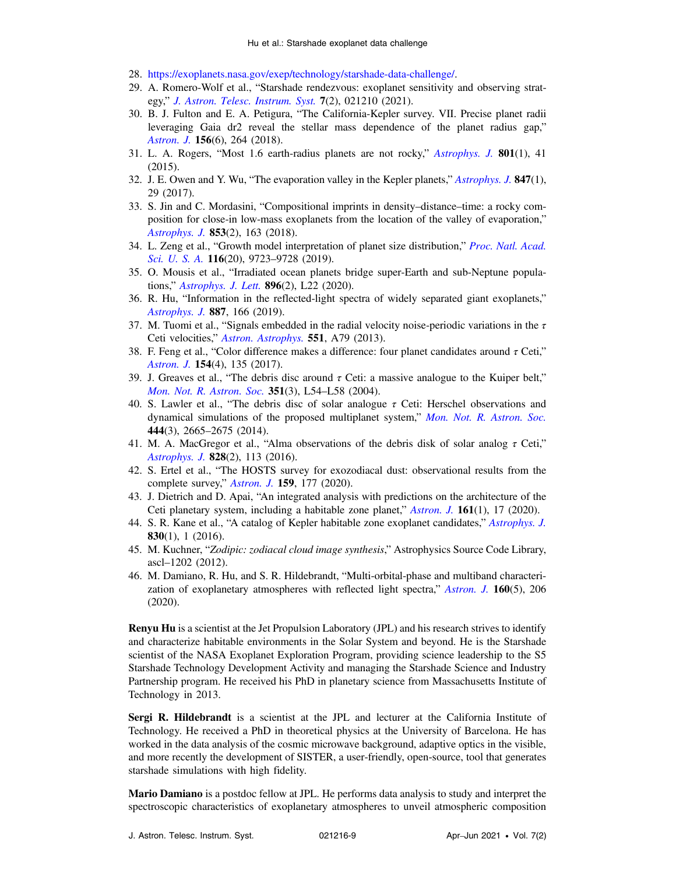- <span id="page-8-0"></span>28. [https://exoplanets.nasa.gov/exep/technology/starshade-data-challenge/.](https://exoplanets.nasa.gov/exep/technology/starshade-data-challenge/)
- 29. A. Romero-Wolf et al., "Starshade rendezvous: exoplanet sensitivity and observing strategy," J. Astron. Telesc. [Instrum.](https://doi.org/10.1117/1.JATIS.7.2.021210) Syst. 7(2), 021210 (2021).
- 30. B. J. Fulton and E. A. Petigura, "The California-Kepler survey. VII. Precise planet radii leveraging Gaia dr2 reveal the stellar mass dependence of the planet radius gap," [Astron.](https://doi.org/10.3847/1538-3881/aae828) J. 156(6), 264 (2018).
- 31. L. A. Rogers, "Most 1.6 earth-radius planets are not rocky," [Astrophys.](https://doi.org/10.1088/0004-637X/801/1/41) J. 801(1), 41 (2015).
- 32. J. E. Owen and Y. Wu, "The evaporation valley in the Kepler planets," [Astrophys.](https://doi.org/10.3847/1538-4357/aa890a) J. 847(1), 29 (2017).
- 33. S. Jin and C. Mordasini, "Compositional imprints in density–distance–time: a rocky composition for close-in low-mass exoplanets from the location of the valley of evaporation," [Astrophys.](https://doi.org/10.3847/1538-4357/aa9f1e) J. 853(2), 163 (2018).
- 34. L. Zeng et al., "Growth model interpretation of planet size distribution," Proc. Natl. [Acad.](https://doi.org/10.1073/pnas.1812905116) [Sci.](https://doi.org/10.1073/pnas.1812905116) U. S. A. 116(20), 9723–9728 (2019).
- 35. O. Mousis et al., "Irradiated ocean planets bridge super-Earth and sub-Neptune populations," [Astrophys.](https://doi.org/10.3847/2041-8213/ab9530) J. Lett. 896(2), L22 (2020).
- 36. R. Hu, "Information in the reflected-light spectra of widely separated giant exoplanets," [Astrophys.](https://doi.org/10.3847/1538-4357/ab58c7) J. 887, 166 (2019).
- 37. M. Tuomi et al., "Signals embedded in the radial velocity noise-periodic variations in the  $\tau$ Ceti velocities," Astron. [Astrophys.](https://doi.org/10.1051/0004-6361/201220509) 551, A79 (2013).
- 38. F. Feng et al., "Color difference makes a difference: four planet candidates around  $\tau$  Ceti," [Astron.](https://doi.org/10.3847/1538-3881/aa83b4) J. 154(4), 135 (2017).
- 39. J. Greaves et al., "The debris disc around  $\tau$  Ceti: a massive analogue to the Kuiper belt," Mon. Not. R. [Astron.](https://doi.org/10.1111/j.1365-2966.2004.07957.x) Soc. 351(3), L54–L58 (2004).
- 40. S. Lawler et al., "The debris disc of solar analogue  $\tau$  Ceti: Herschel observations and dynamical simulations of the proposed multiplanet system," Mon. Not. R. [Astron.](https://doi.org/10.1093/mnras/stu1641) Soc. 444(3), 2665–2675 (2014).
- 41. M. A. MacGregor et al., "Alma observations of the debris disk of solar analog  $\tau$  Ceti," [Astrophys.](https://doi.org/10.3847/0004-637X/828/2/113) J. 828(2), 113 (2016).
- 42. S. Ertel et al., "The HOSTS survey for exozodiacal dust: observational results from the complete survey," [Astron.](https://doi.org/10.3847/1538-3881/ab7817) J. 159, 177 (2020).
- 43. J. Dietrich and D. Apai, "An integrated analysis with predictions on the architecture of the Ceti planetary system, including a habitable zone planet," [Astron.](https://doi.org/10.3847/1538-3881/abc560) J. 161(1), 17 (2020).
- 44. S. R. Kane et al., "A catalog of Kepler habitable zone exoplanet candidates," [Astrophys.](https://doi.org/10.3847/0004-637X/830/1/1) J. 830(1), 1 (2016).
- 45. M. Kuchner, "Zodipic: zodiacal cloud image synthesis," Astrophysics Source Code Library, ascl–1202 (2012).
- 46. M. Damiano, R. Hu, and S. R. Hildebrandt, "Multi-orbital-phase and multiband characteri-zation of exoplanetary atmospheres with reflected light spectra," [Astron.](https://doi.org/10.3847/1538-3881/abb76a) J. 160(5), 206 (2020).

Renyu Hu is a scientist at the Jet Propulsion Laboratory (JPL) and his research strives to identify and characterize habitable environments in the Solar System and beyond. He is the Starshade scientist of the NASA Exoplanet Exploration Program, providing science leadership to the S5 Starshade Technology Development Activity and managing the Starshade Science and Industry Partnership program. He received his PhD in planetary science from Massachusetts Institute of Technology in 2013.

Sergi R. Hildebrandt is a scientist at the JPL and lecturer at the California Institute of Technology. He received a PhD in theoretical physics at the University of Barcelona. He has worked in the data analysis of the cosmic microwave background, adaptive optics in the visible, and more recently the development of SISTER, a user-friendly, open-source, tool that generates starshade simulations with high fidelity.

Mario Damiano is a postdoc fellow at JPL. He performs data analysis to study and interpret the spectroscopic characteristics of exoplanetary atmospheres to unveil atmospheric composition